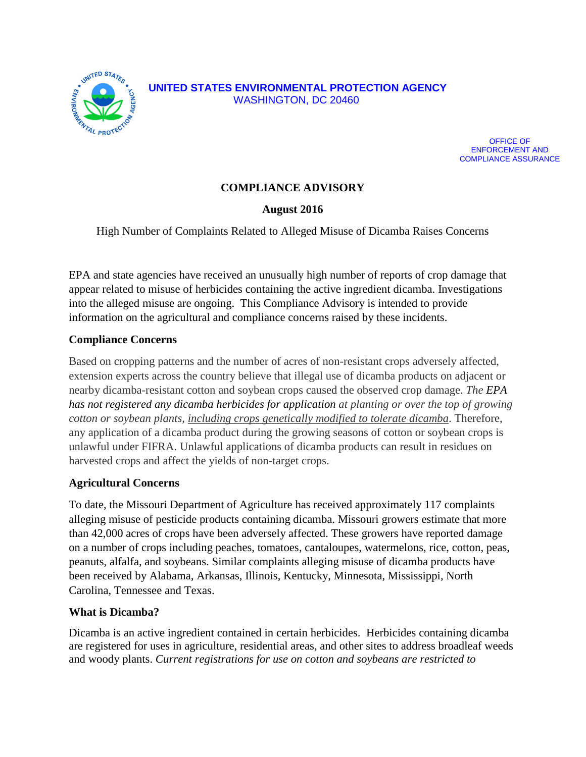



# **COMPLIANCE ADVISORY**

## **August 2016**

High Number of Complaints Related to Alleged Misuse of Dicamba Raises Concerns

EPA and state agencies have received an unusually high number of reports of crop damage that appear related to misuse of herbicides containing the active ingredient dicamba. Investigations into the alleged misuse are ongoing. This Compliance Advisory is intended to provide information on the agricultural and compliance concerns raised by these incidents.

#### **Compliance Concerns**

Based on cropping patterns and the number of acres of non-resistant crops adversely affected, extension experts across the country believe that illegal use of dicamba products on adjacent or nearby dicamba-resistant cotton and soybean crops caused the observed crop damage. *The EPA has not registered any dicamba herbicides for application at planting or over the top of growing cotton or soybean plants, including crops genetically modified to tolerate dicamba*. Therefore, any application of a dicamba product during the growing seasons of cotton or soybean crops is unlawful under FIFRA. Unlawful applications of dicamba products can result in residues on harvested crops and affect the yields of non-target crops.

#### **Agricultural Concerns**

To date, the Missouri Department of Agriculture has received approximately 117 complaints alleging misuse of pesticide products containing dicamba. Missouri growers estimate that more than 42,000 acres of crops have been adversely affected. These growers have reported damage on a number of crops including peaches, tomatoes, cantaloupes, watermelons, rice, cotton, peas, peanuts, alfalfa, and soybeans. Similar complaints alleging misuse of dicamba products have been received by Alabama, Arkansas, Illinois, Kentucky, Minnesota, Mississippi, North Carolina, Tennessee and Texas.

#### **What is Dicamba?**

Dicamba is an active ingredient contained in certain herbicides. Herbicides containing dicamba are registered for uses in agriculture, residential areas, and other sites to address broadleaf weeds and woody plants. *Current registrations for use on cotton and soybeans are restricted to*